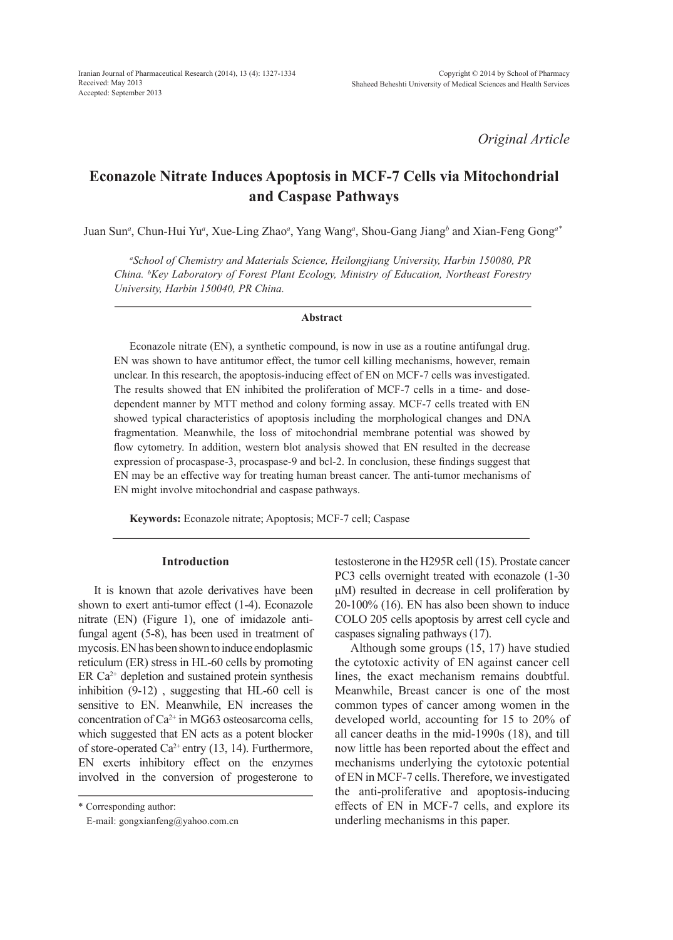*Original Article*

# **Econazole Nitrate Induces Apoptosis in MCF-7 Cells via Mitochondrial and Caspase Pathways**

Juan Sun*<sup>a</sup>* , Chun-Hui Yu*<sup>a</sup>* , Xue-Ling Zhao*<sup>a</sup>* , Yang Wang*<sup>a</sup>* , Shou-Gang Jiang*<sup>b</sup>* and Xian-Feng Gong*a\**

*a School of Chemistry and Materials Science, Heilongjiang University, Harbin 150080, PR China. b Key Laboratory of Forest Plant Ecology, Ministry of Education, Northeast Forestry University, Harbin 150040, PR China.*

#### **Abstract**

Econazole nitrate (EN), a synthetic compound, is now in use as a routine antifungal drug. EN was shown to have antitumor effect, the tumor cell killing mechanisms, however, remain unclear. In this research, the apoptosis-inducing effect of EN on MCF-7 cells was investigated. The results showed that EN inhibited the proliferation of MCF-7 cells in a time- and dosedependent manner by MTT method and colony forming assay. MCF-7 cells treated with EN showed typical characteristics of apoptosis including the morphological changes and DNA fragmentation. Meanwhile, the loss of mitochondrial membrane potential was showed by flow cytometry. In addition, western blot analysis showed that EN resulted in the decrease expression of procaspase-3, procaspase-9 and bcl-2. In conclusion, these findings suggest that EN may be an effective way for treating human breast cancer. The anti-tumor mechanisms of EN might involve mitochondrial and caspase pathways.

**Keywords:** Econazole nitrate; Apoptosis; MCF-7 cell; Caspase

# **Introduction**

It is known that azole derivatives have been shown to exert anti-tumor effect (1-4). Econazole nitrate (EN) (Figure 1), one of imidazole antifungal agent (5-8), has been used in treatment of mycosis. EN has been shown to induce endoplasmic reticulum (ER) stress in HL-60 cells by promoting ER  $Ca<sup>2+</sup>$  depletion and sustained protein synthesis inhibition (9-12) , suggesting that HL-60 cell is sensitive to EN. Meanwhile, EN increases the concentration of  $Ca^{2+}$  in MG63 osteosarcoma cells, which suggested that EN acts as a potent blocker of store-operated Ca<sup>2+</sup> entry (13, 14). Furthermore, EN exerts inhibitory effect on the enzymes involved in the conversion of progesterone to

\* Corresponding author:

E-mail: gongxianfeng@yahoo.com.cn

testosterone in the H295R cell (15). Prostate cancer PC3 cells overnight treated with econazole (1-30 μΜ) resulted in decrease in cell proliferation by 20-100% (16). EN has also been shown to induce COLO 205 cells apoptosis by arrest cell cycle and caspases signaling pathways (17).

Although some groups (15, 17) have studied the cytotoxic activity of EN against cancer cell lines, the exact mechanism remains doubtful. Meanwhile, Breast cancer is one of the most common types of cancer among women in the developed world, accounting for 15 to 20% of all cancer deaths in the mid-1990s (18), and till now little has been reported about the effect and mechanisms underlying the cytotoxic potential of EN in MCF-7 cells. Therefore, we investigated the anti-proliferative and apoptosis-inducing effects of EN in MCF-7 cells, and explore its underling mechanisms in this paper.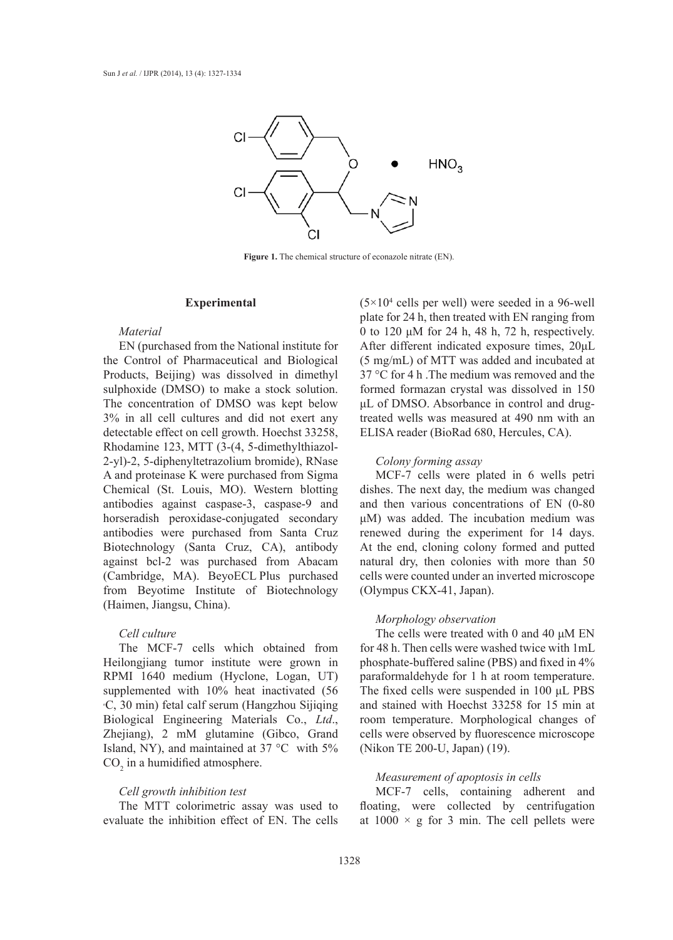

**Figure 1.** The chemical structure of econazole nitrate (EN).

#### **Experimental**

### *Material*

EN (purchased from the National institute for the Control of Pharmaceutical and Biological Products, Beijing) was dissolved in dimethyl sulphoxide (DMSO) to make a stock solution. The concentration of DMSO was kept below 3% in all cell cultures and did not exert any detectable effect on cell growth. Hoechst 33258, Rhodamine 123, MTT (3-(4, 5-dimethylthiazol-2-yl)-2, 5-diphenyltetrazolium bromide), RNase A and proteinase K were purchased from Sigma Chemical (St. Louis, MO). Western blotting antibodies against caspase-3, caspase-9 and horseradish peroxidase-conjugated secondary antibodies were purchased from Santa Cruz Biotechnology (Santa Cruz, CA), antibody against bcl-2 was purchased from Abacam (Cambridge, MA). BeyoECL Plus purchased from Beyotime Institute of Biotechnology (Haimen, Jiangsu, China).

### *Cell culture*

The MCF-7 cells which obtained from Heilongjiang tumor institute were grown in RPMI 1640 medium (Hyclone, Logan, UT) supplemented with 10% heat inactivated (56 ₒ C, 30 min) fetal calf serum (Hangzhou Sijiqing Biological Engineering Materials Co., *Ltd*., Zhejiang), 2 mM glutamine (Gibco, Grand Island, NY), and maintained at 37 °C with 5%  $CO<sub>2</sub>$  in a humidified atmosphere.

### *Cell growth inhibition test*

The MTT colorimetric assay was used to evaluate the inhibition effect of EN. The cells

 $(5 \times 10^4 \text{ cells per well})$  were seeded in a 96-well plate for 24 h, then treated with EN ranging from 0 to 120 μM for 24 h, 48 h, 72 h, respectively. After different indicated exposure times, 20μL (5 mg/mL) of MTT was added and incubated at 37 °C for 4 h .The medium was removed and the formed formazan crystal was dissolved in 150 μL of DMSO. Absorbance in control and drugtreated wells was measured at 490 nm with an ELISA reader (BioRad 680, Hercules, CA).

# *Colony forming assay*

MCF-7 cells were plated in 6 wells petri dishes. The next day, the medium was changed and then various concentrations of EN (0-80 μM) was added. The incubation medium was renewed during the experiment for 14 days. At the end, cloning colony formed and putted natural dry, then colonies with more than 50 cells were counted under an inverted microscope (Olympus CKX-41, Japan).

#### *Morphology observation*

The cells were treated with 0 and 40 μM EN for 48 h. Then cells were washed twice with 1mL phosphate-buffered saline (PBS) and fixed in 4% paraformaldehyde for 1 h at room temperature. The fixed cells were suspended in 100 μL PBS and stained with Hoechst 33258 for 15 min at room temperature. Morphological changes of cells were observed by fluorescence microscope (Nikon TE 200-U, Japan) (19).

## *Measurement of apoptosis in cells*

MCF-7 cells, containing adherent and floating, were collected by centrifugation at  $1000 \times g$  for 3 min. The cell pellets were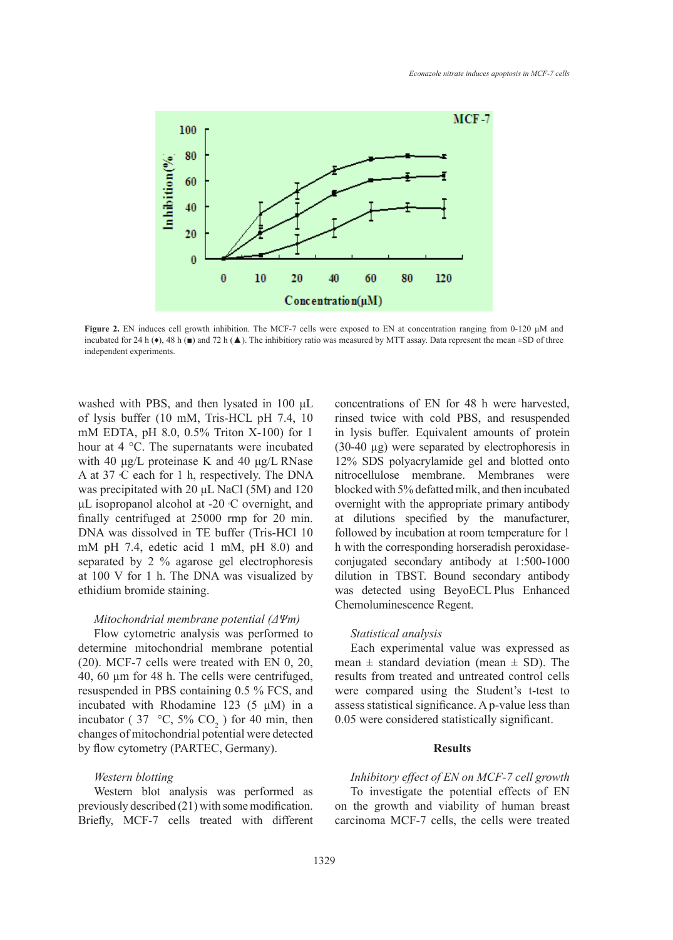

**Figure 2.** EN induces cell growth inhibition. The MCF-7 cells were exposed to EN at concentration ranging from 0-120 μM and incubated for 24 h ( $\bullet$ ), 48 h ( $\bullet$ ) and 72 h ( $\blacktriangle$ ). The inhibitiory ratio was measured by MTT assay. Data represent the mean  $\pm$ SD of three independent experiments.

washed with PBS, and then lysated in 100 μL of lysis buffer (10 mM, Tris-HCL pH 7.4, 10 mM EDTA, pH 8.0, 0.5% Triton X-100) for 1 hour at 4 °C. The supernatants were incubated with 40 μg/L proteinase K and 40 μg/L RNase A at 37 °C each for 1 h, respectively. The DNA was precipitated with 20 μL NaCl (5M) and 120  $μ$ L isopropanol alcohol at -20  $\mathcal C$  overnight, and finally centrifuged at 25000 rmp for 20 min. DNA was dissolved in TE buffer (Tris-HCl 10 mM pH 7.4, edetic acid 1 mM, pH 8.0) and separated by 2 % agarose gel electrophoresis at 100 V for 1 h. The DNA was visualized by ethidium bromide staining.

## *Mitochondrial membrane potential (ΔΨm)*

Flow cytometric analysis was performed to determine mitochondrial membrane potential (20). MCF-7 cells were treated with EN 0, 20, 40, 60 µm for 48 h. The cells were centrifuged, resuspended in PBS containing 0.5 % FCS, and incubated with Rhodamine 123 (5 μΜ) in a incubator (37 °C, 5%  $CO<sub>2</sub>$ ) for 40 min, then changes of mitochondrial potential were detected by flow cytometry (PARTEC, Germany).

## *Western blotting*

Western blot analysis was performed as previously described (21) with some modification. Briefly, MCF-7 cells treated with different concentrations of EN for 48 h were harvested, rinsed twice with cold PBS, and resuspended in lysis buffer. Equivalent amounts of protein (30-40 µg) were separated by electrophoresis in 12% SDS polyacrylamide gel and blotted onto nitrocellulose membrane. Membranes were blocked with 5% defatted milk, and then incubated overnight with the appropriate primary antibody at dilutions specified by the manufacturer, followed by incubation at room temperature for 1 h with the corresponding horseradish peroxidaseconjugated secondary antibody at 1:500-1000 dilution in TBST. Bound secondary antibody was detected using BeyoECL Plus Enhanced Chemoluminescence Regent.

## *Statistical analysis*

Each experimental value was expressed as mean  $\pm$  standard deviation (mean  $\pm$  SD). The results from treated and untreated control cells were compared using the Student's t-test to assess statistical significance. A p-value less than 0.05 were considered statistically significant.

## **Results**

*Inhibitory effect of EN on MCF-7 cell growth* To investigate the potential effects of EN on the growth and viability of human breast carcinoma MCF-7 cells, the cells were treated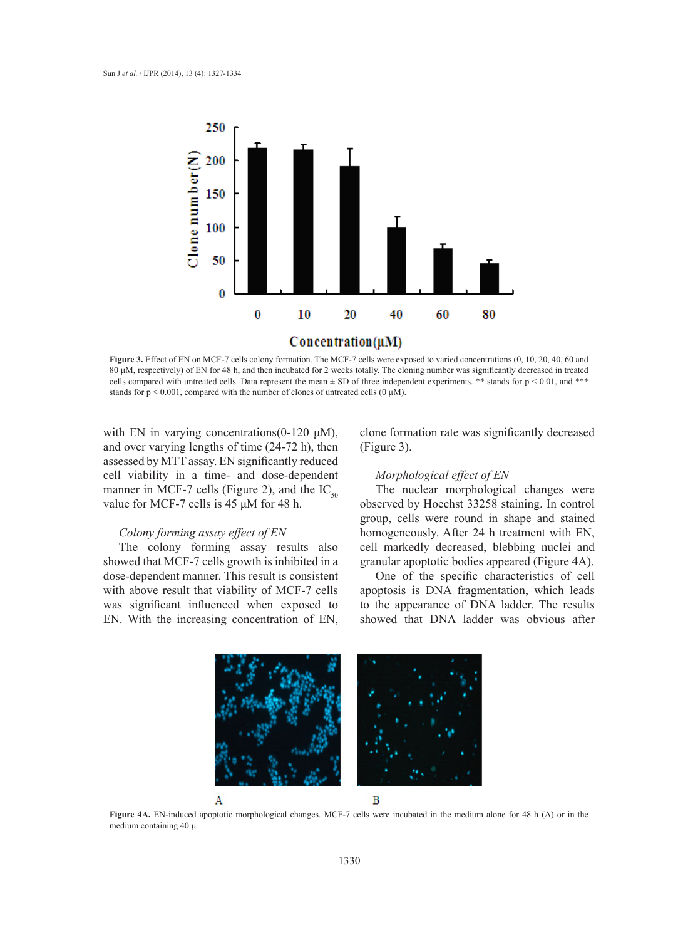

**Figure 3.** Effect of EN on MCF-7 cells colony formation. The MCF-7 cells were exposed to varied concentrations (0, 10, 20, 40, 60 and 80 μM, respectively) of EN for 48 h, and then incubated for 2 weeks totally. The cloning number was significantly decreased in treated cells compared with untreated cells. Data represent the mean  $\pm$  SD of three independent experiments. \*\* stands for  $p < 0.01$ , and \*\*\* stands for  $p < 0.001$ , compared with the number of clones of untreated cells  $(0 \mu M)$ .

with EN in varying concentrations( $0-120 \mu M$ ), and over varying lengths of time (24-72 h), then assessed by MTT assay. EN significantly reduced cell viability in a time- and dose-dependent manner in MCF-7 cells (Figure 2), and the  $IC_{50}$ value for MCF-7 cells is 45 μΜ for 48 h.

## *Colony forming assay effect of EN*

The colony forming assay results also showed that MCF-7 cells growth is inhibited in a dose-dependent manner. This result is consistent with above result that viability of MCF-7 cells was significant influenced when exposed to EN. With the increasing concentration of EN,

clone formation rate was significantly decreased (Figure 3).

### *Morphological effect of EN*

The nuclear morphological changes were observed by Hoechst 33258 staining. In control group, cells were round in shape and stained homogeneously. After 24 h treatment with EN, cell markedly decreased, blebbing nuclei and granular apoptotic bodies appeared (Figure 4A).

One of the specific characteristics of cell apoptosis is DNA fragmentation, which leads to the appearance of DNA ladder. The results showed that DNA ladder was obvious after

B Α

**Figure 4A.** EN-induced apoptotic morphological changes. MCF-7 cells were incubated in the medium alone for 48 h (A) or in the medium containing  $40 \mu$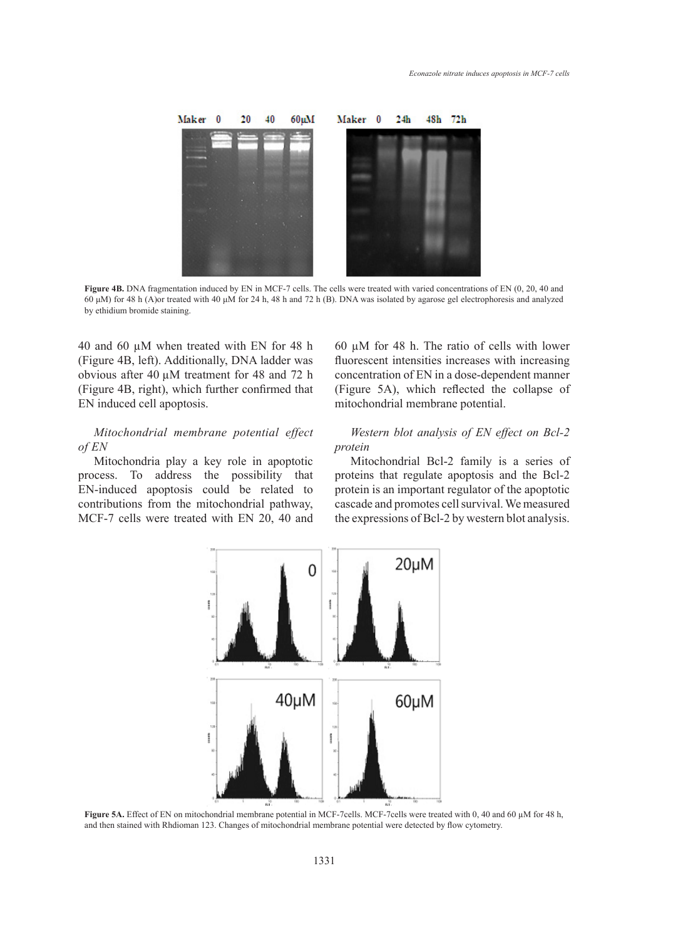

**Figure 4B.** DNA fragmentation induced by EN in MCF-7 cells. The cells were treated with varied concentrations of EN (0, 20, 40 and 60 μM) for 48 h (A)or treated with 40 μM for 24 h, 48 h and 72 h (B). DNA was isolated by agarose gel electrophoresis and analyzed by ethidium bromide staining.

40 and 60 µM when treated with EN for 48 h (Figure 4B, left). Additionally, DNA ladder was obvious after 40 µM treatment for 48 and 72 h (Figure 4B, right), which further confirmed that EN induced cell apoptosis.

# *Mitochondrial membrane potential effect of EN*

Mitochondria play a key role in apoptotic process. To address the possibility that EN-induced apoptosis could be related to contributions from the mitochondrial pathway, MCF-7 cells were treated with EN 20, 40 and 60 µM for 48 h. The ratio of cells with lower fluorescent intensities increases with increasing concentration of EN in a dose-dependent manner (Figure 5A), which reflected the collapse of mitochondrial membrane potential.

# *Western blot analysis of EN effect on Bcl-2 protein*

Mitochondrial Bcl-2 family is a series of proteins that regulate apoptosis and the Bcl-2 protein is an important regulator of the apoptotic cascade and promotes cell survival. We measured the expressions of Bcl-2 by western blot analysis.



**Figure 5A.** Effect of EN on mitochondrial membrane potential in MCF-7cells. MCF-7cells were treated with 0, 40 and 60 µM for 48 h, and then stained with Rhdioman 123. Changes of mitochondrial membrane potential were detected by flow cytometry.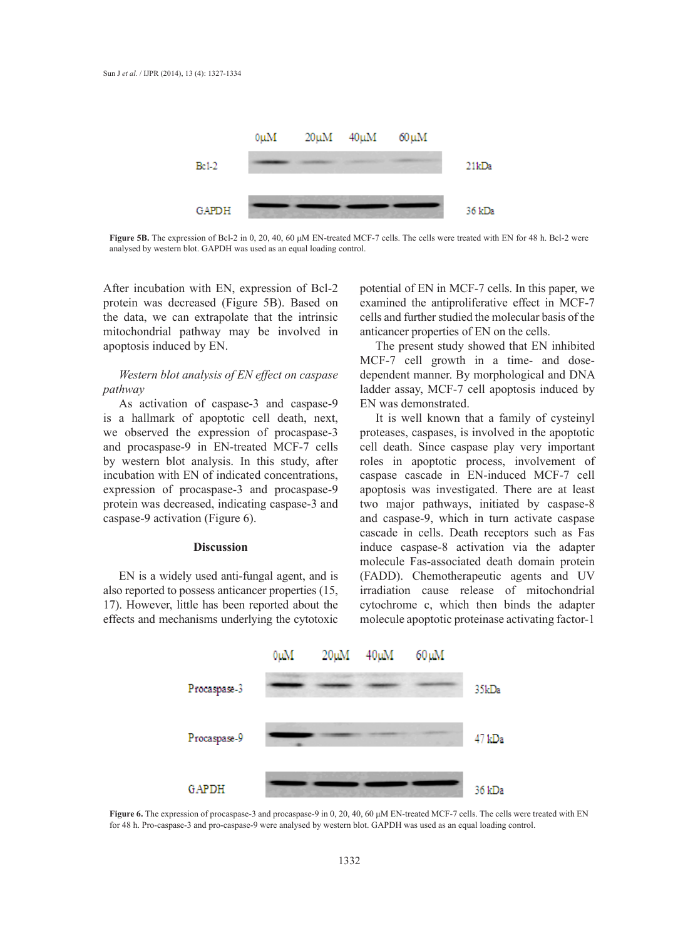

**Figure 5B.** The expression of Bcl-2 in 0, 20, 40, 60 μM EN-treated MCF-7 cells. The cells were treated with EN for 48 h. Bcl-2 were analysed by western blot. GAPDH was used as an equal loading control.

After incubation with EN, expression of Bcl-2 protein was decreased (Figure 5B). Based on the data, we can extrapolate that the intrinsic mitochondrial pathway may be involved in apoptosis induced by EN.

# *Western blot analysis of EN effect on caspase pathway*

As activation of caspase-3 and caspase-9 is a hallmark of apoptotic cell death, next, we observed the expression of procaspase-3 and procaspase-9 in EN-treated MCF-7 cells by western blot analysis. In this study, after incubation with EN of indicated concentrations, expression of procaspase-3 and procaspase-9 protein was decreased, indicating caspase-3 and caspase-9 activation (Figure 6).

## **Discussion**

EN is a widely used anti-fungal agent, and is also reported to possess anticancer properties (15, 17). However, little has been reported about the effects and mechanisms underlying the cytotoxic

potential of EN in MCF-7 cells. In this paper, we examined the antiproliferative effect in MCF-7 cells and further studied the molecular basis of the anticancer properties of EN on the cells.

The present study showed that EN inhibited MCF-7 cell growth in a time- and dosedependent manner. By morphological and DNA ladder assay, MCF-7 cell apoptosis induced by EN was demonstrated.

It is well known that a family of cysteinyl proteases, caspases, is involved in the apoptotic cell death. Since caspase play very important roles in apoptotic process, involvement of caspase cascade in EN-induced MCF-7 cell apoptosis was investigated. There are at least two major pathways, initiated by caspase-8 and caspase-9, which in turn activate caspase cascade in cells. Death receptors such as Fas induce caspase-8 activation via the adapter molecule Fas-associated death domain protein (FADD). Chemotherapeutic agents and UV irradiation cause release of mitochondrial cytochrome c, which then binds the adapter molecule apoptotic proteinase activating factor-1



**Figure 6.** The expression of procaspase-3 and procaspase-9 in 0, 20, 40, 60 μM EN-treated MCF-7 cells. The cells were treated with EN for 48 h. Pro-caspase-3 and pro-caspase-9 were analysed by western blot. GAPDH was used as an equal loading control.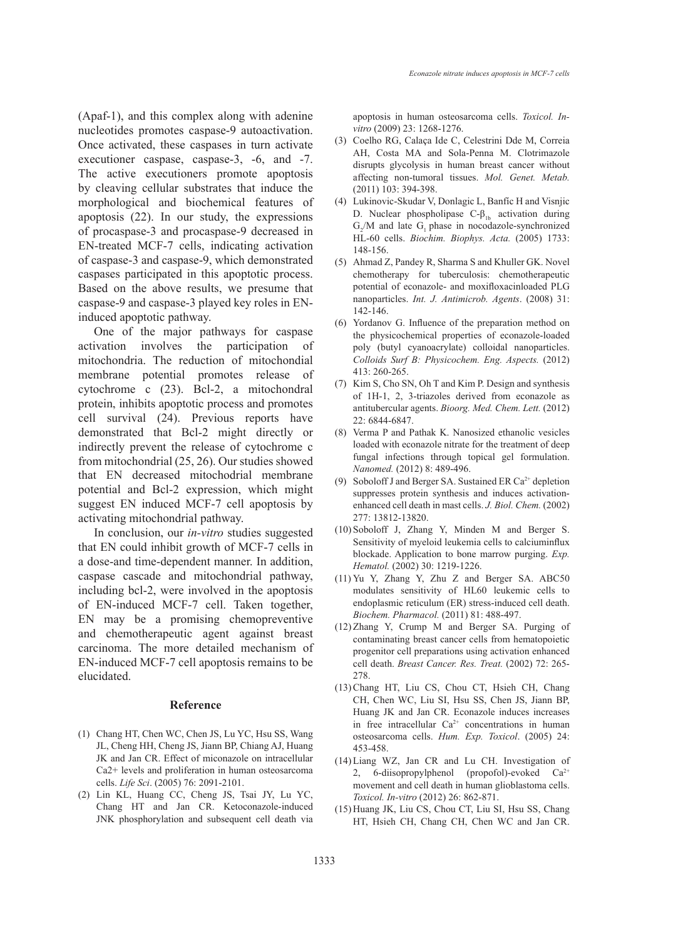(Apaf-1), and this complex along with adenine nucleotides promotes caspase-9 autoactivation. Once activated, these caspases in turn activate executioner caspase, caspase-3, -6, and -7. The active executioners promote apoptosis by cleaving cellular substrates that induce the morphological and biochemical features of apoptosis (22). In our study, the expressions of procaspase-3 and procaspase-9 decreased in EN-treated MCF-7 cells, indicating activation of caspase-3 and caspase-9, which demonstrated caspases participated in this apoptotic process. Based on the above results, we presume that caspase-9 and caspase-3 played key roles in ENinduced apoptotic pathway.

One of the major pathways for caspase activation involves the participation of mitochondria. The reduction of mitochondial membrane potential promotes release of cytochrome c (23). Bcl-2, a mitochondral protein, inhibits apoptotic process and promotes cell survival (24). Previous reports have demonstrated that Bcl-2 might directly or indirectly prevent the release of cytochrome c from mitochondrial (25, 26). Our studies showed that EN decreased mitochodrial membrane potential and Bcl-2 expression, which might suggest EN induced MCF-7 cell apoptosis by activating mitochondrial pathway.

In conclusion, our *in-vitro* studies suggested that EN could inhibit growth of MCF-7 cells in a dose-and time-dependent manner. In addition, caspase cascade and mitochondrial pathway, including bcl-2, were involved in the apoptosis of EN-induced MCF-7 cell. Taken together, EN may be a promising chemopreventive and chemotherapeutic agent against breast carcinoma. The more detailed mechanism of EN-induced MCF-7 cell apoptosis remains to be elucidated.

#### **Reference**

- Chang HT, Chen WC, Chen JS, Lu YC, Hsu SS, Wang (1) JL, Cheng HH, Cheng JS, Jiann BP, Chiang AJ, Huang JK and Jan CR. Effect of miconazole on intracellular Ca2+ levels and proliferation in human osteosarcoma cells. *Life Sci*. (2005) 76: 2091-2101.
- (2) Lin KL, Huang CC, Cheng JS, Tsai JY, Lu YC, Chang HT and Jan CR. Ketoconazole-induced JNK phosphorylation and subsequent cell death via

apoptosis in human osteosarcoma cells. *Toxicol. Invitro* (2009) 23: 1268-1276.

- Coelho RG, Calaça Ide C, Celestrini Dde M, Correia (3) AH, Costa MA and Sola-Penna M. Clotrimazole disrupts glycolysis in human breast cancer without affecting non-tumoral tissues. *Mol. Genet. Metab.* (2011) 103: 394-398.
- Lukinovic-Skudar V, Donlagic L, Banfíc H and Visnjic (4) D. Nuclear phospholipase  $C-\beta_{1b}$  activation during  $G_2/M$  and late  $G_1$  phase in nocodazole-synchronized HL-60 cells. *Biochim. Biophys. Acta.* (2005) 1733: 148-156.
- Ahmad Z, Pandey R, Sharma S and Khuller GK. Novel (5) chemotherapy for tuberculosis: chemotherapeutic potential of econazole- and moxifloxacinloaded PLG nanoparticles. *Int. J. Antimicrob. Agents*. (2008) 31: 142-146.
- (6) Yordanov G. Influence of the preparation method on the physicochemical properties of econazole-loaded poly (butyl cyanoacrylate) colloidal nanoparticles. *Colloids Surf B: Physicochem. Eng. Aspects.* (2012) 413: 260-265.
- $(7)$  Kim S, Cho SN, Oh T and Kim P. Design and synthesis of 1H-1, 2, 3-triazoles derived from econazole as antitubercular agents. *Bioorg. Med. Chem. Lett.* (2012) 22: 6844-6847.
- (8) Verma P and Pathak K. Nanosized ethanolic vesicles loaded with econazole nitrate for the treatment of deep fungal infections through topical gel formulation. *Nanomed.* (2012) 8: 489-496.
- (9) Soboloff J and Berger SA. Sustained ER  $Ca^{2+}$  depletion suppresses protein synthesis and induces activationenhanced cell death in mast cells. *J. Biol. Chem.* (2002) 277: 13812-13820.
- $(10)$  Soboloff J, Zhang Y, Minden M and Berger S. Sensitivity of myeloid leukemia cells to calciuminflux blockade. Application to bone marrow purging. *Exp. Hematol.* (2002) 30: 1219-1226.
- $(11)$  Yu Y, Zhang Y, Zhu Z and Berger SA. ABC50 modulates sensitivity of HL60 leukemic cells to endoplasmic reticulum (ER) stress-induced cell death. *Biochem. Pharmacol.* (2011) 81: 488-497.
- $(12)$  Zhang Y, Crump M and Berger SA. Purging of contaminating breast cancer cells from hematopoietic progenitor cell preparations using activation enhanced cell death. *Breast Cancer. Res. Treat.* (2002) 72: 265- 278.
- (13) Chang HT, Liu CS, Chou CT, Hsieh CH, Chang CH, Chen WC, Liu SI, Hsu SS, Chen JS, Jiann BP, Huang JK and Jan CR. Econazole induces increases in free intracellular  $Ca^{2+}$  concentrations in human osteosarcoma cells. *Hum. Exp. Toxicol*. (2005) 24: 453-458.
- (14) Liang WZ, Jan CR and Lu CH. Investigation of 2, 6-diisopropylphenol (propofol)-evoked Ca<sup>2+</sup> movement and cell death in human glioblastoma cells. *Toxicol. In-vitro* (2012) 26: 862-871.
- (15) Huang JK, Liu CS, Chou CT, Liu SI, Hsu SS, Chang HT, Hsieh CH, Chang CH, Chen WC and Jan CR.